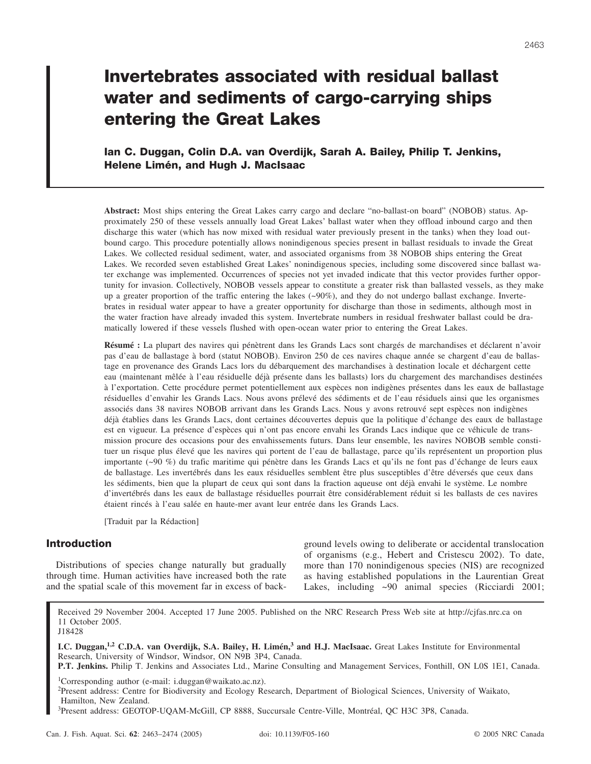# **Invertebrates associated with residual ballast water and sediments of cargo-carrying ships entering the Great Lakes**

# **Ian C. Duggan, Colin D.A. van Overdijk, Sarah A. Bailey, Philip T. Jenkins, Helene Limén, and Hugh J. MacIsaac**

**Abstract:** Most ships entering the Great Lakes carry cargo and declare "no-ballast-on board" (NOBOB) status. Approximately 250 of these vessels annually load Great Lakes' ballast water when they offload inbound cargo and then discharge this water (which has now mixed with residual water previously present in the tanks) when they load outbound cargo. This procedure potentially allows nonindigenous species present in ballast residuals to invade the Great Lakes. We collected residual sediment, water, and associated organisms from 38 NOBOB ships entering the Great Lakes. We recorded seven established Great Lakes' nonindigenous species, including some discovered since ballast water exchange was implemented. Occurrences of species not yet invaded indicate that this vector provides further opportunity for invasion. Collectively, NOBOB vessels appear to constitute a greater risk than ballasted vessels, as they make up a greater proportion of the traffic entering the lakes (~90%), and they do not undergo ballast exchange. Invertebrates in residual water appear to have a greater opportunity for discharge than those in sediments, although most in the water fraction have already invaded this system. Invertebrate numbers in residual freshwater ballast could be dramatically lowered if these vessels flushed with open-ocean water prior to entering the Great Lakes.

**Résumé :** La plupart des navires qui pénètrent dans les Grands Lacs sont chargés de marchandises et déclarent n'avoir pas d'eau de ballastage à bord (statut NOBOB). Environ 250 de ces navires chaque année se chargent d'eau de ballastage en provenance des Grands Lacs lors du débarquement des marchandises à destination locale et déchargent cette eau (maintenant mêlée à l'eau résiduelle déjà présente dans les ballasts) lors du chargement des marchandises destinées à l'exportation. Cette procédure permet potentiellement aux espèces non indigènes présentes dans les eaux de ballastage résiduelles d'envahir les Grands Lacs. Nous avons prélevé des sédiments et de l'eau résiduels ainsi que les organismes associés dans 38 navires NOBOB arrivant dans les Grands Lacs. Nous y avons retrouvé sept espèces non indigènes déjà établies dans les Grands Lacs, dont certaines découvertes depuis que la politique d'échange des eaux de ballastage est en vigueur. La présence d'espèces qui n'ont pas encore envahi les Grands Lacs indique que ce véhicule de transmission procure des occasions pour des envahissements futurs. Dans leur ensemble, les navires NOBOB semble constituer un risque plus élevé que les navires qui portent de l'eau de ballastage, parce qu'ils représentent un proportion plus importante (~90 %) du trafic maritime qui pénètre dans les Grands Lacs et qu'ils ne font pas d'échange de leurs eaux de ballastage. Les invertébrés dans les eaux résiduelles semblent être plus susceptibles d'être déversés que ceux dans les sédiments, bien que la plupart de ceux qui sont dans la fraction aqueuse ont déjà envahi le système. Le nombre d'invertébrés dans les eaux de ballastage résiduelles pourrait être considérablement réduit si les ballasts de ces navires étaient rincés à l'eau salée en haute-mer avant leur entrée dans les Grands Lacs.

[Traduit par la Rédaction]

## **Introduction**

Distributions of species change naturally but gradually through time. Human activities have increased both the rate and the spatial scale of this movement far in excess of background levels owing to deliberate or accidental translocation of organisms (e.g., Hebert and Cristescu 2002). To date, more than 170 nonindigenous species (NIS) are recognized as having established populations in the Laurentian Great Lakes, including ~90 animal species (Ricciardi 2001;

Received 29 November 2004. Accepted 17 June 2005. Published on the NRC Research Press Web site at http://cjfas.nrc.ca on 11 October 2005.

J18428

**I.C. Duggan,1,2 C.D.A. van Overdijk, S.A. Bailey, H. Limén,<sup>3</sup> and H.J. MacIsaac.** Great Lakes Institute for Environmental Research, University of Windsor, Windsor, ON N9B 3P4, Canada.

**P.T. Jenkins.** Philip T. Jenkins and Associates Ltd., Marine Consulting and Management Services, Fonthill, ON L0S 1E1, Canada.

<sup>1</sup>Corresponding author (e-mail: i.duggan@waikato.ac.nz).

<sup>2</sup>Present address: Centre for Biodiversity and Ecology Research, Department of Biological Sciences, University of Waikato, Hamilton, New Zealand.

3 Present address: GEOTOP-UQAM-McGill, CP 8888, Succursale Centre-Ville, Montréal, QC H3C 3P8, Canada.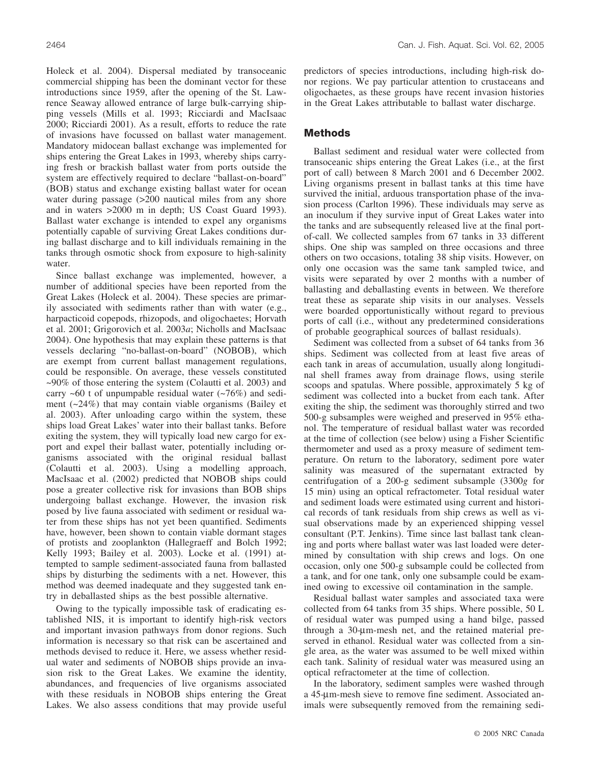Holeck et al. 2004). Dispersal mediated by transoceanic commercial shipping has been the dominant vector for these introductions since 1959, after the opening of the St. Lawrence Seaway allowed entrance of large bulk-carrying shipping vessels (Mills et al. 1993; Ricciardi and MacIsaac 2000; Ricciardi 2001). As a result, efforts to reduce the rate of invasions have focussed on ballast water management. Mandatory midocean ballast exchange was implemented for ships entering the Great Lakes in 1993, whereby ships carrying fresh or brackish ballast water from ports outside the system are effectively required to declare "ballast-on-board" (BOB) status and exchange existing ballast water for ocean water during passage  $(>200$  nautical miles from any shore and in waters >2000 m in depth; US Coast Guard 1993). Ballast water exchange is intended to expel any organisms potentially capable of surviving Great Lakes conditions during ballast discharge and to kill individuals remaining in the tanks through osmotic shock from exposure to high-salinity water.

Since ballast exchange was implemented, however, a number of additional species have been reported from the Great Lakes (Holeck et al. 2004). These species are primarily associated with sediments rather than with water (e.g., harpacticoid copepods, rhizopods, and oligochaetes; Horvath et al. 2001; Grigorovich et al. 2003*a*; Nicholls and MacIsaac 2004). One hypothesis that may explain these patterns is that vessels declaring "no-ballast-on-board" (NOBOB), which are exempt from current ballast management regulations, could be responsible. On average, these vessels constituted ~90% of those entering the system (Colautti et al. 2003) and carry  $\sim 60$  t of unpumpable residual water ( $\sim 76\%$ ) and sediment  $(\sim 24\%)$  that may contain viable organisms (Bailey et al. 2003). After unloading cargo within the system, these ships load Great Lakes' water into their ballast tanks. Before exiting the system, they will typically load new cargo for export and expel their ballast water, potentially including organisms associated with the original residual ballast (Colautti et al. 2003). Using a modelling approach, MacIsaac et al. (2002) predicted that NOBOB ships could pose a greater collective risk for invasions than BOB ships undergoing ballast exchange. However, the invasion risk posed by live fauna associated with sediment or residual water from these ships has not yet been quantified. Sediments have, however, been shown to contain viable dormant stages of protists and zooplankton (Hallegraeff and Bolch 1992; Kelly 1993; Bailey et al. 2003). Locke et al. (1991) attempted to sample sediment-associated fauna from ballasted ships by disturbing the sediments with a net. However, this method was deemed inadequate and they suggested tank entry in deballasted ships as the best possible alternative.

Owing to the typically impossible task of eradicating established NIS, it is important to identify high-risk vectors and important invasion pathways from donor regions. Such information is necessary so that risk can be ascertained and methods devised to reduce it. Here, we assess whether residual water and sediments of NOBOB ships provide an invasion risk to the Great Lakes. We examine the identity, abundances, and frequencies of live organisms associated with these residuals in NOBOB ships entering the Great Lakes. We also assess conditions that may provide useful predictors of species introductions, including high-risk donor regions. We pay particular attention to crustaceans and oligochaetes, as these groups have recent invasion histories in the Great Lakes attributable to ballast water discharge.

# **Methods**

Ballast sediment and residual water were collected from transoceanic ships entering the Great Lakes (i.e., at the first port of call) between 8 March 2001 and 6 December 2002. Living organisms present in ballast tanks at this time have survived the initial, arduous transportation phase of the invasion process (Carlton 1996). These individuals may serve as an inoculum if they survive input of Great Lakes water into the tanks and are subsequently released live at the final portof-call. We collected samples from 67 tanks in 33 different ships. One ship was sampled on three occasions and three others on two occasions, totaling 38 ship visits. However, on only one occasion was the same tank sampled twice, and visits were separated by over 2 months with a number of ballasting and deballasting events in between. We therefore treat these as separate ship visits in our analyses. Vessels were boarded opportunistically without regard to previous ports of call (i.e., without any predetermined considerations of probable geographical sources of ballast residuals).

Sediment was collected from a subset of 64 tanks from 36 ships. Sediment was collected from at least five areas of each tank in areas of accumulation, usually along longitudinal shell frames away from drainage flows, using sterile scoops and spatulas. Where possible, approximately 5 kg of sediment was collected into a bucket from each tank. After exiting the ship, the sediment was thoroughly stirred and two 500-g subsamples were weighed and preserved in 95% ethanol. The temperature of residual ballast water was recorded at the time of collection (see below) using a Fisher Scientific thermometer and used as a proxy measure of sediment temperature. On return to the laboratory, sediment pore water salinity was measured of the supernatant extracted by centrifugation of a 200-g sediment subsample (3300*g* for 15 min) using an optical refractometer. Total residual water and sediment loads were estimated using current and historical records of tank residuals from ship crews as well as visual observations made by an experienced shipping vessel consultant (P.T. Jenkins). Time since last ballast tank cleaning and ports where ballast water was last loaded were determined by consultation with ship crews and logs. On one occasion, only one 500-g subsample could be collected from a tank, and for one tank, only one subsample could be examined owing to excessive oil contamination in the sample.

Residual ballast water samples and associated taxa were collected from 64 tanks from 35 ships. Where possible, 50 L of residual water was pumped using a hand bilge, passed through a 30-µm-mesh net, and the retained material preserved in ethanol. Residual water was collected from a single area, as the water was assumed to be well mixed within each tank. Salinity of residual water was measured using an optical refractometer at the time of collection.

In the laboratory, sediment samples were washed through a 45-µm-mesh sieve to remove fine sediment. Associated animals were subsequently removed from the remaining sedi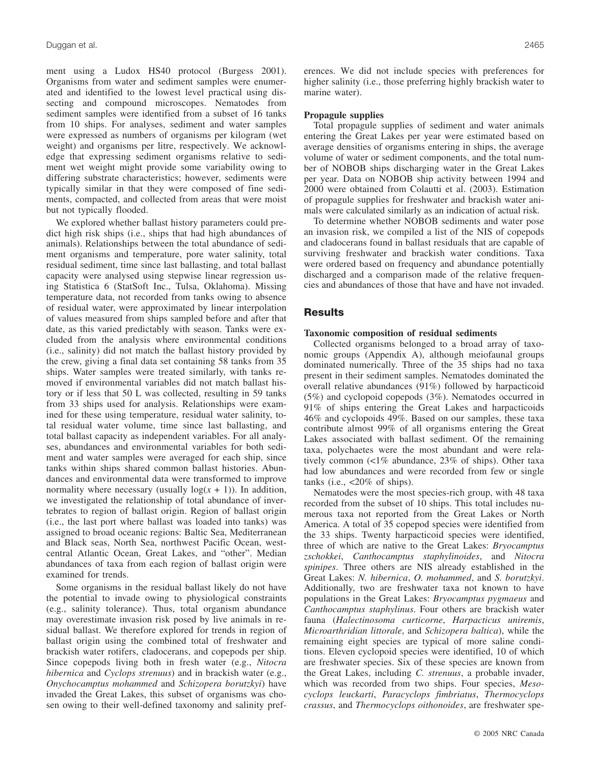ment using a Ludox HS40 protocol (Burgess 2001). Organisms from water and sediment samples were enumerated and identified to the lowest level practical using dissecting and compound microscopes. Nematodes from sediment samples were identified from a subset of 16 tanks from 10 ships. For analyses, sediment and water samples were expressed as numbers of organisms per kilogram (wet weight) and organisms per litre, respectively. We acknowledge that expressing sediment organisms relative to sediment wet weight might provide some variability owing to differing substrate characteristics; however, sediments were typically similar in that they were composed of fine sediments, compacted, and collected from areas that were moist but not typically flooded.

We explored whether ballast history parameters could predict high risk ships (i.e., ships that had high abundances of animals). Relationships between the total abundance of sediment organisms and temperature, pore water salinity, total residual sediment, time since last ballasting, and total ballast capacity were analysed using stepwise linear regression using Statistica 6 (StatSoft Inc., Tulsa, Oklahoma). Missing temperature data, not recorded from tanks owing to absence of residual water, were approximated by linear interpolation of values measured from ships sampled before and after that date, as this varied predictably with season. Tanks were excluded from the analysis where environmental conditions (i.e., salinity) did not match the ballast history provided by the crew, giving a final data set containing 58 tanks from 35 ships. Water samples were treated similarly, with tanks removed if environmental variables did not match ballast history or if less that 50 L was collected, resulting in 59 tanks from 33 ships used for analysis. Relationships were examined for these using temperature, residual water salinity, total residual water volume, time since last ballasting, and total ballast capacity as independent variables. For all analyses, abundances and environmental variables for both sediment and water samples were averaged for each ship, since tanks within ships shared common ballast histories. Abundances and environmental data were transformed to improve normality where necessary (usually  $log(x + 1)$ ). In addition, we investigated the relationship of total abundance of invertebrates to region of ballast origin. Region of ballast origin (i.e., the last port where ballast was loaded into tanks) was assigned to broad oceanic regions: Baltic Sea, Mediterranean and Black seas, North Sea, northwest Pacific Ocean, westcentral Atlantic Ocean, Great Lakes, and "other". Median abundances of taxa from each region of ballast origin were examined for trends.

Some organisms in the residual ballast likely do not have the potential to invade owing to physiological constraints (e.g., salinity tolerance). Thus, total organism abundance may overestimate invasion risk posed by live animals in residual ballast. We therefore explored for trends in region of ballast origin using the combined total of freshwater and brackish water rotifers, cladocerans, and copepods per ship. Since copepods living both in fresh water (e.g., *Nitocra hibernica* and *Cyclops strenuus*) and in brackish water (e.g., *Onychocamptus mohammed* and *Schizopera borutzkyi*) have invaded the Great Lakes, this subset of organisms was chosen owing to their well-defined taxonomy and salinity preferences. We did not include species with preferences for higher salinity (i.e., those preferring highly brackish water to marine water).

#### **Propagule supplies**

Total propagule supplies of sediment and water animals entering the Great Lakes per year were estimated based on average densities of organisms entering in ships, the average volume of water or sediment components, and the total number of NOBOB ships discharging water in the Great Lakes per year. Data on NOBOB ship activity between 1994 and 2000 were obtained from Colautti et al. (2003). Estimation of propagule supplies for freshwater and brackish water animals were calculated similarly as an indication of actual risk.

To determine whether NOBOB sediments and water pose an invasion risk, we compiled a list of the NIS of copepods and cladocerans found in ballast residuals that are capable of surviving freshwater and brackish water conditions. Taxa were ordered based on frequency and abundance potentially discharged and a comparison made of the relative frequencies and abundances of those that have and have not invaded.

## **Results**

#### **Taxonomic composition of residual sediments**

Collected organisms belonged to a broad array of taxonomic groups (Appendix A), although meiofaunal groups dominated numerically. Three of the 35 ships had no taxa present in their sediment samples. Nematodes dominated the overall relative abundances (91%) followed by harpacticoid (5%) and cyclopoid copepods (3%). Nematodes occurred in 91% of ships entering the Great Lakes and harpacticoids 46% and cyclopoids 49%. Based on our samples, these taxa contribute almost 99% of all organisms entering the Great Lakes associated with ballast sediment. Of the remaining taxa, polychaetes were the most abundant and were relatively common (<1% abundance, 23% of ships). Other taxa had low abundances and were recorded from few or single tanks (i.e.,  $<20\%$  of ships).

Nematodes were the most species-rich group, with 48 taxa recorded from the subset of 10 ships. This total includes numerous taxa not reported from the Great Lakes or North America. A total of 35 copepod species were identified from the 33 ships. Twenty harpacticoid species were identified, three of which are native to the Great Lakes: *Bryocamptus zschokkei*, *Canthocamptus staphylinoides*, and *Nitocra spinipes*. Three others are NIS already established in the Great Lakes: *N. hibernica*, *O. mohammed*, and *S. borutzkyi*. Additionally, two are freshwater taxa not known to have populations in the Great Lakes: *Bryocamptus pygmaeus* and *Canthocamptus staphylinus*. Four others are brackish water fauna (*Halectinosoma curticorne*, *Harpacticus uniremis*, *Microarthridian littorale*, and *Schizopera baltica*), while the remaining eight species are typical of more saline conditions. Eleven cyclopoid species were identified, 10 of which are freshwater species. Six of these species are known from the Great Lakes, including *C. strenuus*, a probable invader, which was recorded from two ships. Four species, *Mesocyclops leuckarti*, *Paracyclops fimbriatus*, *Thermocyclops crassus*, and *Thermocyclops oithonoides*, are freshwater spe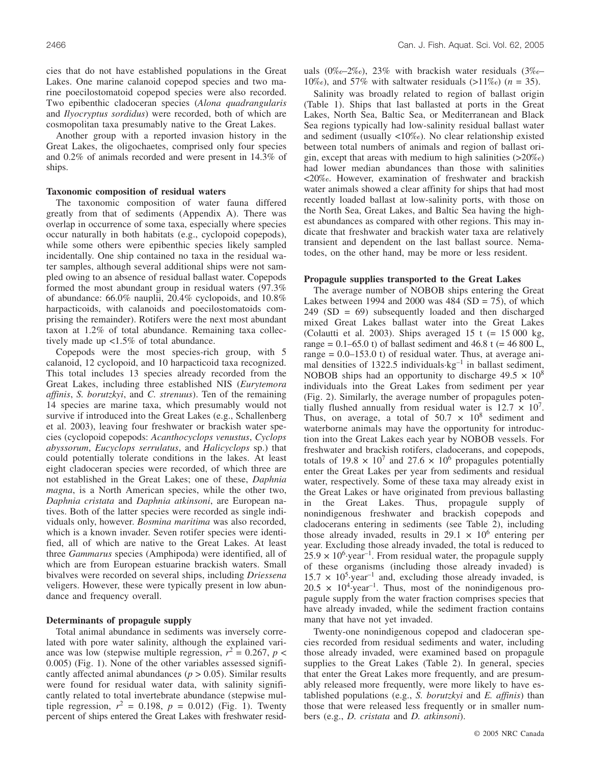cies that do not have established populations in the Great Lakes. One marine calanoid copepod species and two marine poecilostomatoid copepod species were also recorded. Two epibenthic cladoceran species (*Alona quadrangularis* and *Ilyocryptus sordidus*) were recorded, both of which are cosmopolitan taxa presumably native to the Great Lakes.

Another group with a reported invasion history in the Great Lakes, the oligochaetes, comprised only four species and 0.2% of animals recorded and were present in 14.3% of ships.

## **Taxonomic composition of residual waters**

The taxonomic composition of water fauna differed greatly from that of sediments (Appendix A). There was overlap in occurrence of some taxa, especially where species occur naturally in both habitats (e.g., cyclopoid copepods), while some others were epibenthic species likely sampled incidentally. One ship contained no taxa in the residual water samples, although several additional ships were not sampled owing to an absence of residual ballast water. Copepods formed the most abundant group in residual waters (97.3% of abundance: 66.0% nauplii, 20.4% cyclopoids, and 10.8% harpacticoids, with calanoids and poecilostomatoids comprising the remainder). Rotifers were the next most abundant taxon at 1.2% of total abundance. Remaining taxa collectively made up <1.5% of total abundance.

Copepods were the most species-rich group, with 5 calanoid, 12 cyclopoid, and 10 harpacticoid taxa recognized. This total includes 13 species already recorded from the Great Lakes, including three established NIS (*Eurytemora affinis*, *S. borutzkyi*, and *C. strenuus*). Ten of the remaining 14 species are marine taxa, which presumably would not survive if introduced into the Great Lakes (e.g., Schallenberg et al. 2003), leaving four freshwater or brackish water species (cyclopoid copepods: *Acanthocyclops venustus*, *Cyclops abyssorum*, *Eucyclops serrulatus*, and *Halicyclops* sp.) that could potentially tolerate conditions in the lakes. At least eight cladoceran species were recorded, of which three are not established in the Great Lakes; one of these, *Daphnia magna*, is a North American species, while the other two, *Daphnia cristata* and *Daphnia atkinsoni*, are European natives. Both of the latter species were recorded as single individuals only, however. *Bosmina maritima* was also recorded, which is a known invader. Seven rotifer species were identified, all of which are native to the Great Lakes. At least three *Gammarus* species (Amphipoda) were identified, all of which are from European estuarine brackish waters. Small bivalves were recorded on several ships, including *Driessena* veligers. However, these were typically present in low abundance and frequency overall.

#### **Determinants of propagule supply**

Total animal abundance in sediments was inversely correlated with pore water salinity, although the explained variance was low (stepwise multiple regression,  $r^2 = 0.267$ ,  $p <$ 0.005) (Fig. 1). None of the other variables assessed significantly affected animal abundances ( $p > 0.05$ ). Similar results were found for residual water data, with salinity significantly related to total invertebrate abundance (stepwise multiple regression,  $r^2 = 0.198$ ,  $p = 0.012$ ) (Fig. 1). Twenty percent of ships entered the Great Lakes with freshwater residuals (0‰–2‰), 23% with brackish water residuals (3‰– 10‰), and 57% with saltwater residuals (>11‰) (*n* = 35).

Salinity was broadly related to region of ballast origin (Table 1). Ships that last ballasted at ports in the Great Lakes, North Sea, Baltic Sea, or Mediterranean and Black Sea regions typically had low-salinity residual ballast water and sediment (usually <10‰). No clear relationship existed between total numbers of animals and region of ballast origin, except that areas with medium to high salinities  $(>20\%)$ had lower median abundances than those with salinities <20‰. However, examination of freshwater and brackish water animals showed a clear affinity for ships that had most recently loaded ballast at low-salinity ports, with those on the North Sea, Great Lakes, and Baltic Sea having the highest abundances as compared with other regions. This may indicate that freshwater and brackish water taxa are relatively transient and dependent on the last ballast source. Nematodes, on the other hand, may be more or less resident.

#### **Propagule supplies transported to the Great Lakes**

The average number of NOBOB ships entering the Great Lakes between 1994 and 2000 was  $484$  (SD = 75), of which  $249$  (SD = 69) subsequently loaded and then discharged mixed Great Lakes ballast water into the Great Lakes (Colautti et al. 2003). Ships averaged  $15$  t (= 15 000 kg, range =  $0.1-65.0$  t) of ballast sediment and 46.8 t (= 46 800 L, range  $= 0.0 - 153.0$  t) of residual water. Thus, at average animal densities of 1322.5 individuals $\text{kg}^{-1}$  in ballast sediment, NOBOB ships had an opportunity to discharge  $49.5 \times 10^8$ individuals into the Great Lakes from sediment per year (Fig. 2). Similarly, the average number of propagules potentially flushed annually from residual water is  $12.7 \times 10^7$ . Thus, on average, a total of  $50.7 \times 10^8$  sediment and waterborne animals may have the opportunity for introduction into the Great Lakes each year by NOBOB vessels. For freshwater and brackish rotifers, cladocerans, and copepods, totals of 19.8  $\times$  10<sup>7</sup> and 27.6  $\times$  10<sup>6</sup> propagules potentially enter the Great Lakes per year from sediments and residual water, respectively. Some of these taxa may already exist in the Great Lakes or have originated from previous ballasting in the Great Lakes. Thus, propagule supply of nonindigenous freshwater and brackish copepods and cladocerans entering in sediments (see Table 2), including those already invaded, results in 29.1  $\times$  10<sup>6</sup> entering per year. Excluding those already invaded, the total is reduced to  $25.9 \times 10^{6}$  year<sup>-1</sup>. From residual water, the propagule supply of these organisms (including those already invaded) is  $15.7 \times 10^5$  year<sup>-1</sup> and, excluding those already invaded, is  $20.5 \times 10^{4}$  year<sup>-1</sup>. Thus, most of the nonindigenous propagule supply from the water fraction comprises species that have already invaded, while the sediment fraction contains many that have not yet invaded.

Twenty-one nonindigenous copepod and cladoceran species recorded from residual sediments and water, including those already invaded, were examined based on propagule supplies to the Great Lakes (Table 2). In general, species that enter the Great Lakes more frequently, and are presumably released more frequently, were more likely to have established populations (e.g., *S. borutzkyi* and *E. affinis*) than those that were released less frequently or in smaller numbers (e.g., *D. cristata* and *D. atkinsoni*).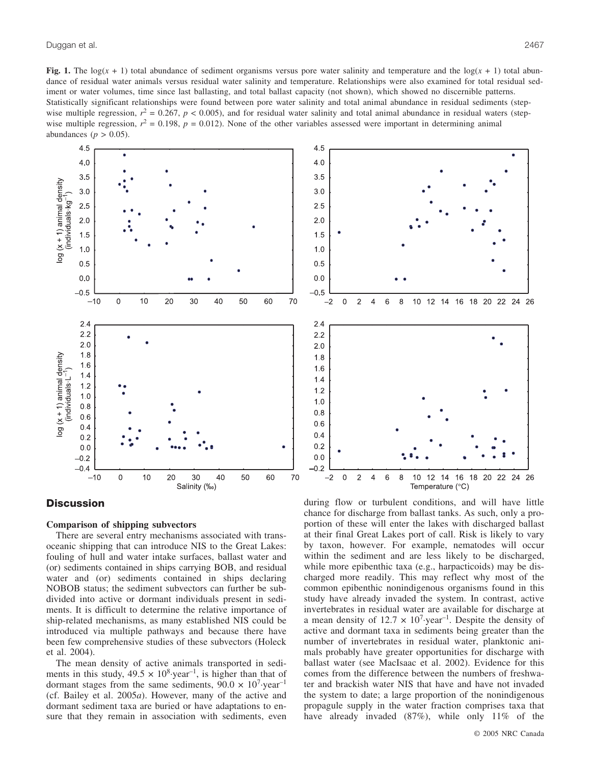**Fig. 1.** The  $\log(x + 1)$  total abundance of sediment organisms versus pore water salinity and temperature and the  $\log(x + 1)$  total abundance of residual water animals versus residual water salinity and temperature. Relationships were also examined for total residual sediment or water volumes, time since last ballasting, and total ballast capacity (not shown), which showed no discernible patterns. Statistically significant relationships were found between pore water salinity and total animal abundance in residual sediments (stepwise multiple regression,  $r^2 = 0.267$ ,  $p < 0.005$ ), and for residual water salinity and total animal abundance in residual waters (stepwise multiple regression,  $r^2 = 0.198$ ,  $p = 0.012$ ). None of the other variables assessed were important in determining animal abundances ( $p > 0.05$ ).



## **Discussion**

## **Comparison of shipping subvectors**

There are several entry mechanisms associated with transoceanic shipping that can introduce NIS to the Great Lakes: fouling of hull and water intake surfaces, ballast water and (or) sediments contained in ships carrying BOB, and residual water and (or) sediments contained in ships declaring NOBOB status; the sediment subvectors can further be subdivided into active or dormant individuals present in sediments. It is difficult to determine the relative importance of ship-related mechanisms, as many established NIS could be introduced via multiple pathways and because there have been few comprehensive studies of these subvectors (Holeck et al. 2004).

The mean density of active animals transported in sediments in this study,  $49.5 \times 10^8$  year<sup>-1</sup>, is higher than that of dormant stages from the same sediments,  $90.0 \times 10^{7}$  year<sup>-1</sup> (cf. Bailey et al. 2005*a*). However, many of the active and dormant sediment taxa are buried or have adaptations to ensure that they remain in association with sediments, even during flow or turbulent conditions, and will have little chance for discharge from ballast tanks. As such, only a proportion of these will enter the lakes with discharged ballast at their final Great Lakes port of call. Risk is likely to vary by taxon, however. For example, nematodes will occur within the sediment and are less likely to be discharged, while more epibenthic taxa (e.g., harpacticoids) may be discharged more readily. This may reflect why most of the common epibenthic nonindigenous organisms found in this study have already invaded the system. In contrast, active invertebrates in residual water are available for discharge at a mean density of  $12.7 \times 10^{7}$  year<sup>-1</sup>. Despite the density of active and dormant taxa in sediments being greater than the number of invertebrates in residual water, planktonic animals probably have greater opportunities for discharge with ballast water (see MacIsaac et al. 2002). Evidence for this comes from the difference between the numbers of freshwater and brackish water NIS that have and have not invaded the system to date; a large proportion of the nonindigenous propagule supply in the water fraction comprises taxa that have already invaded (87%), while only 11% of the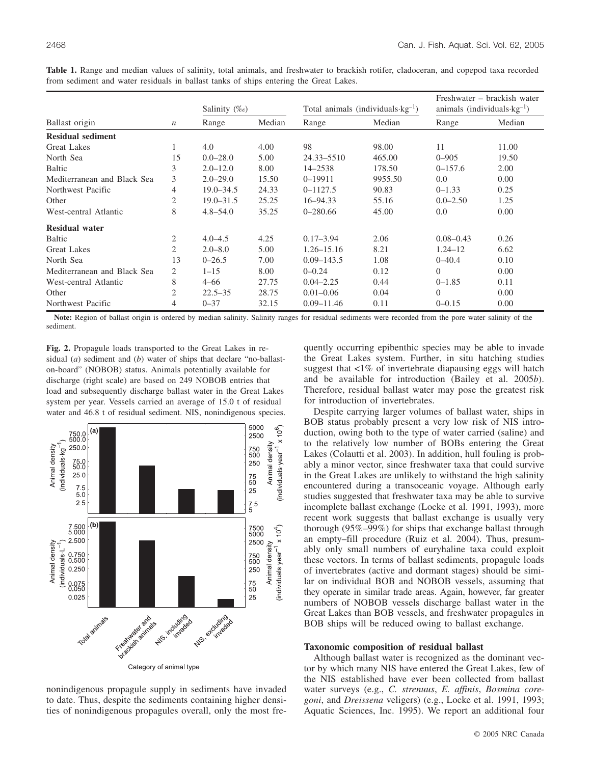|                             | $\boldsymbol{n}$ | Salinity $(\%_0)$ |        | Total animals (individuals $\cdot$ kg <sup>-1</sup> ) |         | Freshwater – brackish water<br>animals (individuals $\text{kg}^{-1}$ ) |        |
|-----------------------------|------------------|-------------------|--------|-------------------------------------------------------|---------|------------------------------------------------------------------------|--------|
| Ballast origin              |                  | Range             | Median | Range                                                 | Median  | Range                                                                  | Median |
| Residual sediment           |                  |                   |        |                                                       |         |                                                                        |        |
| Great Lakes                 |                  | 4.0               | 4.00   | 98                                                    | 98.00   | 11                                                                     | 11.00  |
| North Sea                   | 15               | $0.0 - 28.0$      | 5.00   | 24.33–5510                                            | 465.00  | $0 - 905$                                                              | 19.50  |
| Baltic                      | 3                | $2.0 - 12.0$      | 8.00   | $14 - 2538$                                           | 178.50  | $0 - 157.6$                                                            | 2.00   |
| Mediterranean and Black Sea | 3                | $2.0 - 29.0$      | 15.50  | $0 - 19911$                                           | 9955.50 | 0.0                                                                    | 0.00   |
| Northwest Pacific           | 4                | $19.0 - 34.5$     | 24.33  | $0 - 1127.5$                                          | 90.83   | $0 - 1.33$                                                             | 0.25   |
| Other                       | $\overline{2}$   | $19.0 - 31.5$     | 25.25  | 16-94.33                                              | 55.16   | $0.0 - 2.50$                                                           | 1.25   |
| West-central Atlantic       | 8                | $4.8 - 54.0$      | 35.25  | $0 - 280.66$                                          | 45.00   | 0.0                                                                    | 0.00   |
| <b>Residual water</b>       |                  |                   |        |                                                       |         |                                                                        |        |
| Baltic                      | 2                | $4.0 - 4.5$       | 4.25   | $0.17 - 3.94$                                         | 2.06    | $0.08 - 0.43$                                                          | 0.26   |
| <b>Great Lakes</b>          | 2                | $2.0 - 8.0$       | 5.00   | $1.26 - 15.16$                                        | 8.21    | $1.24 - 12$                                                            | 6.62   |
| North Sea                   | 13               | $0 - 26.5$        | 7.00   | $0.09 - 143.5$                                        | 1.08    | $0 - 40.4$                                                             | 0.10   |
| Mediterranean and Black Sea | 2                | $1 - 15$          | 8.00   | $0 - 0.24$                                            | 0.12    | $\Omega$                                                               | 0.00   |
| West-central Atlantic       | 8                | $4 - 66$          | 27.75  | $0.04 - 2.25$                                         | 0.44    | $0 - 1.85$                                                             | 0.11   |
| Other                       | $\overline{2}$   | $22.5 - 35$       | 28.75  | $0.01 - 0.06$                                         | 0.04    | $\Omega$                                                               | 0.00   |
| Northwest Pacific           | 4                | $0 - 37$          | 32.15  | $0.09 - 11.46$                                        | 0.11    | $0 - 0.15$                                                             | 0.00   |

**Table 1.** Range and median values of salinity, total animals, and freshwater to brackish rotifer, cladoceran, and copepod taxa recorded from sediment and water residuals in ballast tanks of ships entering the Great Lakes.

**Note:** Region of ballast origin is ordered by median salinity. Salinity ranges for residual sediments were recorded from the pore water salinity of the sediment.

**Fig. 2.** Propagule loads transported to the Great Lakes in residual (*a*) sediment and (*b*) water of ships that declare "no-ballaston-board" (NOBOB) status. Animals potentially available for discharge (right scale) are based on 249 NOBOB entries that load and subsequently discharge ballast water in the Great Lakes system per year. Vessels carried an average of 15.0 t of residual water and 46.8 t of residual sediment. NIS, nonindigenous species.



nonindigenous propagule supply in sediments have invaded to date. Thus, despite the sediments containing higher densities of nonindigenous propagules overall, only the most frequently occurring epibenthic species may be able to invade the Great Lakes system. Further, in situ hatching studies suggest that <1% of invertebrate diapausing eggs will hatch and be available for introduction (Bailey et al. 2005*b*). Therefore, residual ballast water may pose the greatest risk for introduction of invertebrates.

Despite carrying larger volumes of ballast water, ships in BOB status probably present a very low risk of NIS introduction, owing both to the type of water carried (saline) and to the relatively low number of BOBs entering the Great Lakes (Colautti et al. 2003). In addition, hull fouling is probably a minor vector, since freshwater taxa that could survive in the Great Lakes are unlikely to withstand the high salinity encountered during a transoceanic voyage. Although early studies suggested that freshwater taxa may be able to survive incomplete ballast exchange (Locke et al. 1991, 1993), more recent work suggests that ballast exchange is usually very thorough (95%–99%) for ships that exchange ballast through an empty–fill procedure (Ruiz et al. 2004). Thus, presumably only small numbers of euryhaline taxa could exploit these vectors. In terms of ballast sediments, propagule loads of invertebrates (active and dormant stages) should be similar on individual BOB and NOBOB vessels, assuming that they operate in similar trade areas. Again, however, far greater numbers of NOBOB vessels discharge ballast water in the Great Lakes than BOB vessels, and freshwater propagules in BOB ships will be reduced owing to ballast exchange.

## **Taxonomic composition of residual ballast**

Although ballast water is recognized as the dominant vector by which many NIS have entered the Great Lakes, few of the NIS established have ever been collected from ballast water surveys (e.g., *C. strenuus*, *E. affinis*, *Bosmina coregoni*, and *Dreissena* veligers) (e.g., Locke et al. 1991, 1993; Aquatic Sciences, Inc. 1995). We report an additional four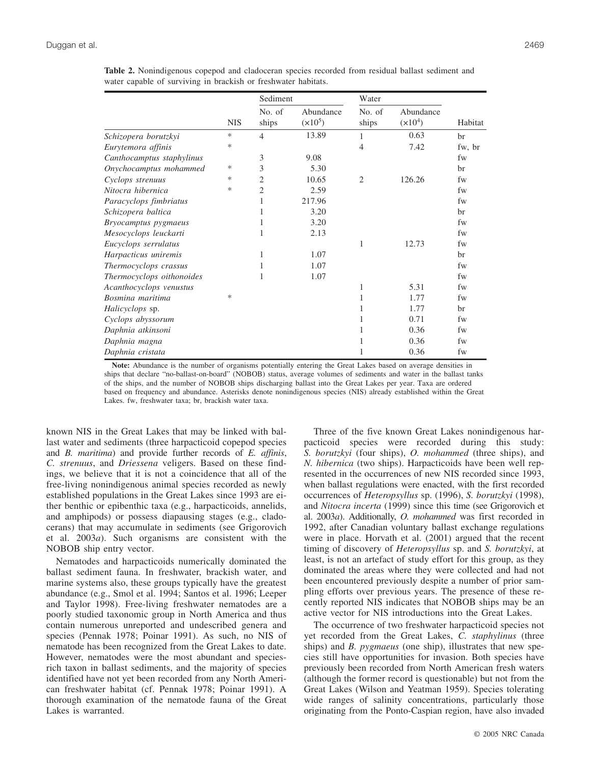|                           |            | Sediment        |                        | Water           |                        |         |
|---------------------------|------------|-----------------|------------------------|-----------------|------------------------|---------|
|                           | <b>NIS</b> | No. of<br>ships | Abundance<br>$(x10^5)$ | No. of<br>ships | Abundance<br>$(x10^4)$ | Habitat |
| Schizopera borutzkyi      | $\ast$     | $\overline{4}$  | 13.89                  | 1               | 0.63                   | br      |
| Eurytemora affinis        | *          |                 |                        | $\overline{4}$  | 7.42                   | fw, br  |
| Canthocamptus staphylinus |            | 3               | 9.08                   |                 |                        | fw      |
| Onychocamptus mohammed    | ∗          | 3               | 5.30                   |                 |                        | br      |
| Cyclops strenuus          | ∗          | 2               | 10.65                  | $\overline{2}$  | 126.26                 | fw      |
| Nitocra hibernica         | *          | $\overline{2}$  | 2.59                   |                 |                        | fw      |
| Paracyclops fimbriatus    |            | 1               | 217.96                 |                 |                        | fw      |
| Schizopera baltica        |            | 1               | 3.20                   |                 |                        | br      |
| Bryocamptus pygmaeus      |            | 1               | 3.20                   |                 |                        | fw      |
| Mesocyclops leuckarti     |            | 1               | 2.13                   |                 |                        | fw      |
| Eucyclops serrulatus      |            |                 |                        | 1               | 12.73                  | fw      |
| Harpacticus uniremis      |            | 1               | 1.07                   |                 |                        | br      |
| Thermocyclops crassus     |            | 1               | 1.07                   |                 |                        | fw      |
| Thermocyclops oithonoides |            | 1               | 1.07                   |                 |                        | fw      |
| Acanthocyclops venustus   |            |                 |                        | 1               | 5.31                   | fw      |
| Bosmina maritima          | $*$        |                 |                        | 1               | 1.77                   | fw      |
| Halicyclops sp.           |            |                 |                        | 1               | 1.77                   | br      |
| Cyclops abyssorum         |            |                 |                        | 1               | 0.71                   | fw      |
| Daphnia atkinsoni         |            |                 |                        | 1               | 0.36                   | fw      |
| Daphnia magna             |            |                 |                        | 1               | 0.36                   | fw      |
| Daphnia cristata          |            |                 |                        |                 | 0.36                   | fw      |

**Table 2.** Nonindigenous copepod and cladoceran species recorded from residual ballast sediment and water capable of surviving in brackish or freshwater habitats.

**Note:** Abundance is the number of organisms potentially entering the Great Lakes based on average densities in ships that declare "no-ballast-on-board" (NOBOB) status, average volumes of sediments and water in the ballast tanks of the ships, and the number of NOBOB ships discharging ballast into the Great Lakes per year. Taxa are ordered based on frequency and abundance. Asterisks denote nonindigenous species (NIS) already established within the Great Lakes. fw, freshwater taxa; br, brackish water taxa.

known NIS in the Great Lakes that may be linked with ballast water and sediments (three harpacticoid copepod species and *B. maritima*) and provide further records of *E. affinis*, *C. strenuus*, and *Driessena* veligers. Based on these findings, we believe that it is not a coincidence that all of the free-living nonindigenous animal species recorded as newly established populations in the Great Lakes since 1993 are either benthic or epibenthic taxa (e.g., harpacticoids, annelids, and amphipods) or possess diapausing stages (e.g., cladocerans) that may accumulate in sediments (see Grigorovich et al. 2003*a*). Such organisms are consistent with the NOBOB ship entry vector.

Nematodes and harpacticoids numerically dominated the ballast sediment fauna. In freshwater, brackish water, and marine systems also, these groups typically have the greatest abundance (e.g., Smol et al. 1994; Santos et al. 1996; Leeper and Taylor 1998). Free-living freshwater nematodes are a poorly studied taxonomic group in North America and thus contain numerous unreported and undescribed genera and species (Pennak 1978; Poinar 1991). As such, no NIS of nematode has been recognized from the Great Lakes to date. However, nematodes were the most abundant and speciesrich taxon in ballast sediments, and the majority of species identified have not yet been recorded from any North American freshwater habitat (cf. Pennak 1978; Poinar 1991). A thorough examination of the nematode fauna of the Great Lakes is warranted.

Three of the five known Great Lakes nonindigenous harpacticoid species were recorded during this study: *S. borutzkyi* (four ships), *O. mohammed* (three ships), and *N. hibernica* (two ships). Harpacticoids have been well represented in the occurrences of new NIS recorded since 1993, when ballast regulations were enacted, with the first recorded occurrences of *Heteropsyllus* sp. (1996), *S. borutzkyi* (1998), and *Nitocra incerta* (1999) since this time (see Grigorovich et al. 2003*a*). Additionally, *O. mohammed* was first recorded in 1992, after Canadian voluntary ballast exchange regulations were in place. Horvath et al. (2001) argued that the recent timing of discovery of *Heteropsyllus* sp. and *S. borutzkyi*, at least, is not an artefact of study effort for this group, as they dominated the areas where they were collected and had not been encountered previously despite a number of prior sampling efforts over previous years. The presence of these recently reported NIS indicates that NOBOB ships may be an active vector for NIS introductions into the Great Lakes.

The occurrence of two freshwater harpacticoid species not yet recorded from the Great Lakes, *C. staphylinus* (three ships) and *B. pygmaeus* (one ship), illustrates that new species still have opportunities for invasion. Both species have previously been recorded from North American fresh waters (although the former record is questionable) but not from the Great Lakes (Wilson and Yeatman 1959). Species tolerating wide ranges of salinity concentrations, particularly those originating from the Ponto-Caspian region, have also invaded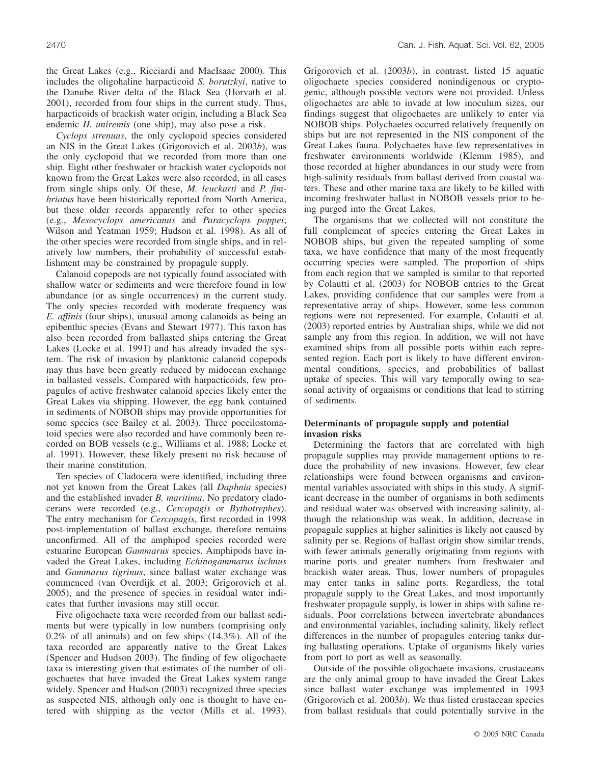the Great Lakes (e.g., Ricciardi and MacIsaac 2000). This includes the oligohaline harpacticoid *S. borutzkyi*, native to the Danube River delta of the Black Sea (Horvath et al. 2001), recorded from four ships in the current study. Thus, harpacticoids of brackish water origin, including a Black Sea endemic *H. uniremis* (one ship), may also pose a risk.

*Cyclops strenuus*, the only cyclopoid species considered an NIS in the Great Lakes (Grigorovich et al. 2003*b*), was the only cyclopoid that we recorded from more than one ship. Eight other freshwater or brackish water cyclopoids not known from the Great Lakes were also recorded, in all cases from single ships only. Of these, *M. leuckarti* and *P. fimbriatus* have been historically reported from North America, but these older records apparently refer to other species (e.g., *Mesocyclops americanus* and *Paracyclops poppei*; Wilson and Yeatman 1959; Hudson et al. 1998). As all of the other species were recorded from single ships, and in relatively low numbers, their probability of successful establishment may be constrained by propagule supply.

Calanoid copepods are not typically found associated with shallow water or sediments and were therefore found in low abundance (or as single occurrences) in the current study. The only species recorded with moderate frequency was *E. affinis* (four ships), unusual among calanoids as being an epibenthic species (Evans and Stewart 1977). This taxon has also been recorded from ballasted ships entering the Great Lakes (Locke et al. 1991) and has already invaded the system. The risk of invasion by planktonic calanoid copepods may thus have been greatly reduced by midocean exchange in ballasted vessels. Compared with harpacticoids, few propagules of active freshwater calanoid species likely enter the Great Lakes via shipping. However, the egg bank contained in sediments of NOBOB ships may provide opportunities for some species (see Bailey et al. 2003). Three poecilostomatoid species were also recorded and have commonly been recorded on BOB vessels (e.g., Williams et al. 1988; Locke et al. 1991). However, these likely present no risk because of their marine constitution.

Ten species of Cladocera were identified, including three not yet known from the Great Lakes (all *Daphnia* species) and the established invader *B. maritima*. No predatory cladocerans were recorded (e.g., *Cercopagis* or *Bythotrephes*). The entry mechanism for *Cercopagis*, first recorded in 1998 post-implementation of ballast exchange, therefore remains unconfirmed. All of the amphipod species recorded were estuarine European *Gammarus* species. Amphipods have invaded the Great Lakes, including *Echinogammarus ischnus* and *Gammarus tigrinus*, since ballast water exchange was commenced (van Overdijk et al. 2003; Grigorovich et al. 2005), and the presence of species in residual water indicates that further invasions may still occur.

Five oligochaete taxa were recorded from our ballast sediments but were typically in low numbers (comprising only 0.2% of all animals) and on few ships (14.3%). All of the taxa recorded are apparently native to the Great Lakes (Spencer and Hudson 2003). The finding of few oligochaete taxa is interesting given that estimates of the number of oligochaetes that have invaded the Great Lakes system range widely. Spencer and Hudson (2003) recognized three species as suspected NIS, although only one is thought to have entered with shipping as the vector (Mills et al. 1993). Grigorovich et al. (2003*b*), in contrast, listed 15 aquatic oligochaete species considered nonindigenous or cryptogenic, although possible vectors were not provided. Unless oligochaetes are able to invade at low inoculum sizes, our findings suggest that oligochaetes are unlikely to enter via NOBOB ships. Polychaetes occurred relatively frequently on ships but are not represented in the NIS component of the Great Lakes fauna. Polychaetes have few representatives in freshwater environments worldwide (Klemm 1985), and those recorded at higher abundances in our study were from high-salinity residuals from ballast derived from coastal waters. These and other marine taxa are likely to be killed with incoming freshwater ballast in NOBOB vessels prior to being purged into the Great Lakes.

The organisms that we collected will not constitute the full complement of species entering the Great Lakes in NOBOB ships, but given the repeated sampling of some taxa, we have confidence that many of the most frequently occurring species were sampled. The proportion of ships from each region that we sampled is similar to that reported by Colautti et al. (2003) for NOBOB entries to the Great Lakes, providing confidence that our samples were from a representative array of ships. However, some less common regions were not represented. For example, Colautti et al. (2003) reported entries by Australian ships, while we did not sample any from this region. In addition, we will not have examined ships from all possible ports within each represented region. Each port is likely to have different environmental conditions, species, and probabilities of ballast uptake of species. This will vary temporally owing to seasonal activity of organisms or conditions that lead to stirring of sediments.

## **Determinants of propagule supply and potential invasion risks**

Determining the factors that are correlated with high propagule supplies may provide management options to reduce the probability of new invasions. However, few clear relationships were found between organisms and environmental variables associated with ships in this study. A significant decrease in the number of organisms in both sediments and residual water was observed with increasing salinity, although the relationship was weak. In addition, decrease in propagule supplies at higher salinities is likely not caused by salinity per se. Regions of ballast origin show similar trends, with fewer animals generally originating from regions with marine ports and greater numbers from freshwater and brackish water areas. Thus, lower numbers of propagules may enter tanks in saline ports. Regardless, the total propagule supply to the Great Lakes, and most importantly freshwater propagule supply, is lower in ships with saline residuals. Poor correlations between invertebrate abundances and environmental variables, including salinity, likely reflect differences in the number of propagules entering tanks during ballasting operations. Uptake of organisms likely varies from port to port as well as seasonally.

Outside of the possible oligochaete invasions, crustaceans are the only animal group to have invaded the Great Lakes since ballast water exchange was implemented in 1993 (Grigorovich et al. 2003*b*). We thus listed crustacean species from ballast residuals that could potentially survive in the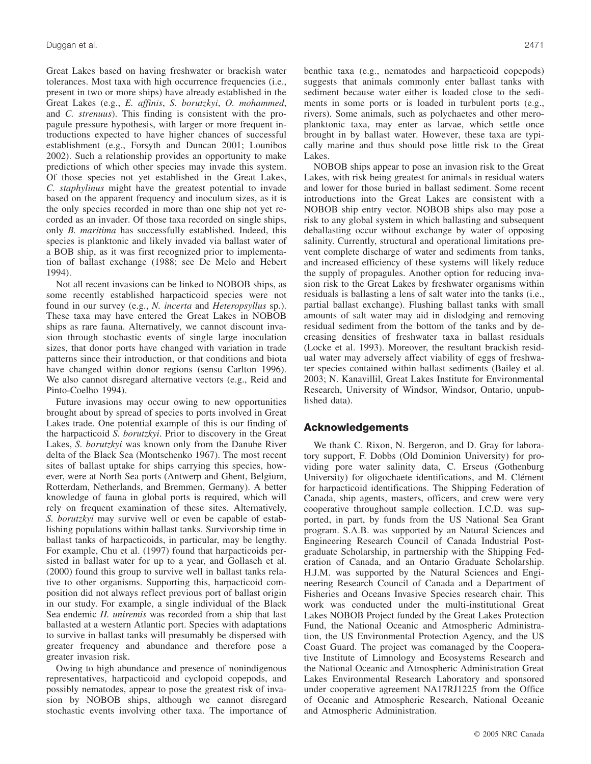Great Lakes based on having freshwater or brackish water tolerances. Most taxa with high occurrence frequencies (i.e., present in two or more ships) have already established in the Great Lakes (e.g., *E. affinis*, *S. borutzkyi*, *O. mohammed*, and *C. strenuus*). This finding is consistent with the propagule pressure hypothesis, with larger or more frequent introductions expected to have higher chances of successful establishment (e.g., Forsyth and Duncan 2001; Lounibos 2002). Such a relationship provides an opportunity to make predictions of which other species may invade this system. Of those species not yet established in the Great Lakes, *C. staphylinus* might have the greatest potential to invade based on the apparent frequency and inoculum sizes, as it is the only species recorded in more than one ship not yet recorded as an invader. Of those taxa recorded on single ships, only *B. maritima* has successfully established. Indeed, this species is planktonic and likely invaded via ballast water of a BOB ship, as it was first recognized prior to implementation of ballast exchange (1988; see De Melo and Hebert 1994).

Not all recent invasions can be linked to NOBOB ships, as some recently established harpacticoid species were not found in our survey (e.g., *N. incerta* and *Heteropsyllus* sp.). These taxa may have entered the Great Lakes in NOBOB ships as rare fauna. Alternatively, we cannot discount invasion through stochastic events of single large inoculation sizes, that donor ports have changed with variation in trade patterns since their introduction, or that conditions and biota have changed within donor regions (sensu Carlton 1996). We also cannot disregard alternative vectors (e.g., Reid and Pinto-Coelho 1994).

Future invasions may occur owing to new opportunities brought about by spread of species to ports involved in Great Lakes trade. One potential example of this is our finding of the harpacticoid *S. borutzkyi*. Prior to discovery in the Great Lakes, *S. borutzkyi* was known only from the Danube River delta of the Black Sea (Montschenko 1967). The most recent sites of ballast uptake for ships carrying this species, however, were at North Sea ports (Antwerp and Ghent, Belgium, Rotterdam, Netherlands, and Bremmen, Germany). A better knowledge of fauna in global ports is required, which will rely on frequent examination of these sites. Alternatively, *S. borutzkyi* may survive well or even be capable of establishing populations within ballast tanks. Survivorship time in ballast tanks of harpacticoids, in particular, may be lengthy. For example, Chu et al. (1997) found that harpacticoids persisted in ballast water for up to a year, and Gollasch et al. (2000) found this group to survive well in ballast tanks relative to other organisms. Supporting this, harpacticoid composition did not always reflect previous port of ballast origin in our study. For example, a single individual of the Black Sea endemic *H. uniremis* was recorded from a ship that last ballasted at a western Atlantic port. Species with adaptations to survive in ballast tanks will presumably be dispersed with greater frequency and abundance and therefore pose a greater invasion risk.

Owing to high abundance and presence of nonindigenous representatives, harpacticoid and cyclopoid copepods, and possibly nematodes, appear to pose the greatest risk of invasion by NOBOB ships, although we cannot disregard stochastic events involving other taxa. The importance of

benthic taxa (e.g., nematodes and harpacticoid copepods) suggests that animals commonly enter ballast tanks with sediment because water either is loaded close to the sediments in some ports or is loaded in turbulent ports (e.g., rivers). Some animals, such as polychaetes and other meroplanktonic taxa, may enter as larvae, which settle once brought in by ballast water. However, these taxa are typically marine and thus should pose little risk to the Great Lakes.

NOBOB ships appear to pose an invasion risk to the Great Lakes, with risk being greatest for animals in residual waters and lower for those buried in ballast sediment. Some recent introductions into the Great Lakes are consistent with a NOBOB ship entry vector. NOBOB ships also may pose a risk to any global system in which ballasting and subsequent deballasting occur without exchange by water of opposing salinity. Currently, structural and operational limitations prevent complete discharge of water and sediments from tanks, and increased efficiency of these systems will likely reduce the supply of propagules. Another option for reducing invasion risk to the Great Lakes by freshwater organisms within residuals is ballasting a lens of salt water into the tanks (i.e., partial ballast exchange). Flushing ballast tanks with small amounts of salt water may aid in dislodging and removing residual sediment from the bottom of the tanks and by decreasing densities of freshwater taxa in ballast residuals (Locke et al. 1993). Moreover, the resultant brackish residual water may adversely affect viability of eggs of freshwater species contained within ballast sediments (Bailey et al. 2003; N. Kanavillil, Great Lakes Institute for Environmental Research, University of Windsor, Windsor, Ontario, unpublished data).

# **Acknowledgements**

We thank C. Rixon, N. Bergeron, and D. Gray for laboratory support, F. Dobbs (Old Dominion University) for providing pore water salinity data, C. Erseus (Gothenburg University) for oligochaete identifications, and M. Clément for harpacticoid identifications. The Shipping Federation of Canada, ship agents, masters, officers, and crew were very cooperative throughout sample collection. I.C.D. was supported, in part, by funds from the US National Sea Grant program. S.A.B. was supported by an Natural Sciences and Engineering Research Council of Canada Industrial Postgraduate Scholarship, in partnership with the Shipping Federation of Canada, and an Ontario Graduate Scholarship. H.J.M. was supported by the Natural Sciences and Engineering Research Council of Canada and a Department of Fisheries and Oceans Invasive Species research chair. This work was conducted under the multi-institutional Great Lakes NOBOB Project funded by the Great Lakes Protection Fund, the National Oceanic and Atmospheric Administration, the US Environmental Protection Agency, and the US Coast Guard. The project was comanaged by the Cooperative Institute of Limnology and Ecosystems Research and the National Oceanic and Atmospheric Administration Great Lakes Environmental Research Laboratory and sponsored under cooperative agreement NA17RJ1225 from the Office of Oceanic and Atmospheric Research, National Oceanic and Atmospheric Administration.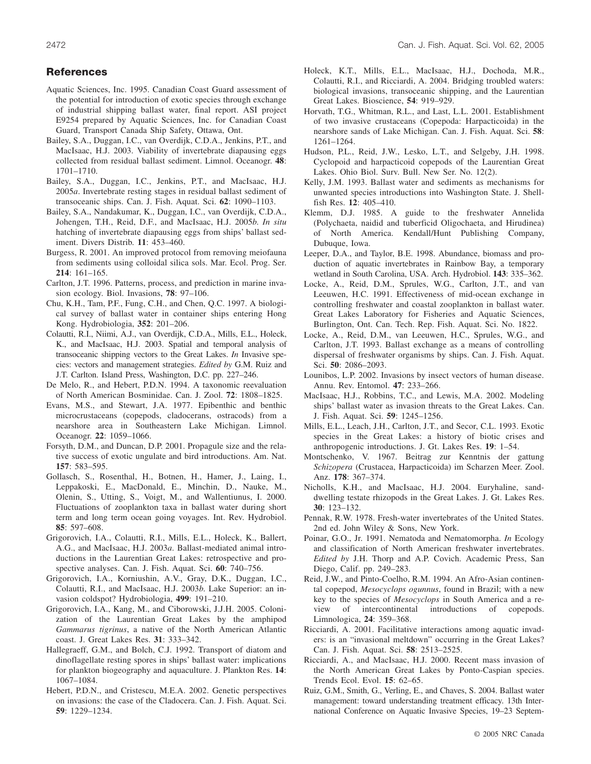# **References**

- Aquatic Sciences, Inc. 1995. Canadian Coast Guard assessment of the potential for introduction of exotic species through exchange of industrial shipping ballast water, final report. ASI project E9254 prepared by Aquatic Sciences, Inc. for Canadian Coast Guard, Transport Canada Ship Safety, Ottawa, Ont.
- Bailey, S.A., Duggan, I.C., van Overdijk, C.D.A., Jenkins, P.T., and MacIsaac, H.J. 2003. Viability of invertebrate diapausing eggs collected from residual ballast sediment. Limnol. Oceanogr. **48**: 1701–1710.
- Bailey, S.A., Duggan, I.C., Jenkins, P.T., and MacIsaac, H.J. 2005*a*. Invertebrate resting stages in residual ballast sediment of transoceanic ships. Can. J. Fish. Aquat. Sci. **62**: 1090–1103.
- Bailey, S.A., Nandakumar, K., Duggan, I.C., van Overdijk, C.D.A., Johengen, T.H., Reid, D.F., and MacIsaac, H.J. 2005*b*. *In situ* hatching of invertebrate diapausing eggs from ships' ballast sediment. Divers Distrib. **11**: 453–460.
- Burgess, R. 2001. An improved protocol from removing meiofauna from sediments using colloidal silica sols. Mar. Ecol. Prog. Ser. **214**: 161–165.
- Carlton, J.T. 1996. Patterns, process, and prediction in marine invasion ecology. Biol. Invasions, **78**: 97–106.
- Chu, K.H., Tam, P.F., Fung, C.H., and Chen, Q.C. 1997. A biological survey of ballast water in container ships entering Hong Kong. Hydrobiologia, **352**: 201–206.
- Colautti, R.I., Niimi, A.J., van Overdijk, C.D.A., Mills, E.L., Holeck, K., and MacIsaac, H.J. 2003. Spatial and temporal analysis of transoceanic shipping vectors to the Great Lakes. *In* Invasive species: vectors and management strategies. *Edited by* G.M. Ruiz and J.T. Carlton. Island Press, Washington, D.C. pp. 227–246.
- De Melo, R., and Hebert, P.D.N. 1994. A taxonomic reevaluation of North American Bosminidae. Can. J. Zool. **72**: 1808–1825.
- Evans, M.S., and Stewart, J.A. 1977. Epibenthic and benthic microcrustaceans (copepods, cladocerans, ostracods) from a nearshore area in Southeastern Lake Michigan. Limnol. Oceanogr. **22**: 1059–1066.
- Forsyth, D.M., and Duncan, D.P. 2001. Propagule size and the relative success of exotic ungulate and bird introductions. Am. Nat. **157**: 583–595.
- Gollasch, S., Rosenthal, H., Botnen, H., Hamer, J., Laing, I., Leppakoski, E., MacDonald, E., Minchin, D., Nauke, M., Olenin, S., Utting, S., Voigt, M., and Wallentiunus, I. 2000. Fluctuations of zooplankton taxa in ballast water during short term and long term ocean going voyages. Int. Rev. Hydrobiol. **85**: 597–608.
- Grigorovich, I.A., Colautti, R.I., Mills, E.L., Holeck, K., Ballert, A.G., and MacIsaac, H.J. 2003*a*. Ballast-mediated animal introductions in the Laurentian Great Lakes: retrospective and prospective analyses. Can. J. Fish. Aquat. Sci. **60**: 740–756.
- Grigorovich, I.A., Korniushin, A.V., Gray, D.K., Duggan, I.C., Colautti, R.I., and MacIsaac, H.J. 2003*b*. Lake Superior: an invasion coldspot? Hydrobiologia, **499**: 191–210.
- Grigorovich, I.A., Kang, M., and Ciborowski, J.J.H. 2005. Colonization of the Laurentian Great Lakes by the amphipod *Gammarus tigrinus*, a native of the North American Atlantic coast. J. Great Lakes Res. **31**: 333–342.
- Hallegraeff, G.M., and Bolch, C.J. 1992. Transport of diatom and dinoflagellate resting spores in ships' ballast water: implications for plankton biogeography and aquaculture. J. Plankton Res. **14**: 1067–1084.
- Hebert, P.D.N., and Cristescu, M.E.A. 2002. Genetic perspectives on invasions: the case of the Cladocera. Can. J. Fish. Aquat. Sci. **59**: 1229–1234.
- Holeck, K.T., Mills, E.L., MacIsaac, H.J., Dochoda, M.R., Colautti, R.I., and Ricciardi, A. 2004. Bridging troubled waters: biological invasions, transoceanic shipping, and the Laurentian Great Lakes. Bioscience, **54**: 919–929.
- Horvath, T.G., Whitman, R.L., and Last, L.L. 2001. Establishment of two invasive crustaceans (Copepoda: Harpacticoida) in the nearshore sands of Lake Michigan. Can. J. Fish. Aquat. Sci. **58**: 1261–1264.
- Hudson, P.L., Reid, J.W., Lesko, L.T., and Selgeby, J.H. 1998. Cyclopoid and harpacticoid copepods of the Laurentian Great Lakes. Ohio Biol. Surv. Bull. New Ser. No. 12(2).
- Kelly, J.M. 1993. Ballast water and sediments as mechanisms for unwanted species introductions into Washington State. J. Shellfish Res. **12**: 405–410.
- Klemm, D.J. 1985. A guide to the freshwater Annelida (Polychaeta, naidid and tuberficid Oligochaeta, and Hirudinea) of North America. Kendall/Hunt Publishing Company, Dubuque, Iowa.
- Leeper, D.A., and Taylor, B.E. 1998. Abundance, biomass and production of aquatic invertebrates in Rainbow Bay, a temporary wetland in South Carolina, USA. Arch. Hydrobiol. **143**: 335–362.
- Locke, A., Reid, D.M., Sprules, W.G., Carlton, J.T., and van Leeuwen, H.C. 1991. Effectiveness of mid-ocean exchange in controlling freshwater and coastal zooplankton in ballast water. Great Lakes Laboratory for Fisheries and Aquatic Sciences, Burlington, Ont. Can. Tech. Rep. Fish. Aquat. Sci. No. 1822.
- Locke, A., Reid, D.M., van Leeuwen, H.C., Sprules, W.G., and Carlton, J.T. 1993. Ballast exchange as a means of controlling dispersal of freshwater organisms by ships. Can. J. Fish. Aquat. Sci. **50**: 2086–2093.
- Lounibos, L.P. 2002. Invasions by insect vectors of human disease. Annu. Rev. Entomol. **47**: 233–266.
- MacIsaac, H.J., Robbins, T.C., and Lewis, M.A. 2002. Modeling ships' ballast water as invasion threats to the Great Lakes. Can. J. Fish. Aquat. Sci. **59**: 1245–1256.
- Mills, E.L., Leach, J.H., Carlton, J.T., and Secor, C.L. 1993. Exotic species in the Great Lakes: a history of biotic crises and anthropogenic introductions. J. Gt. Lakes Res. **19**: 1–54.
- Montschenko, V. 1967. Beitrag zur Kenntnis der gattung *Schizopera* (Crustacea, Harpacticoida) im Scharzen Meer. Zool. Anz. **178**: 367–374.
- Nicholls, K.H., and MacIsaac, H.J. 2004. Euryhaline, sanddwelling testate rhizopods in the Great Lakes. J. Gt. Lakes Res. **30**: 123–132.
- Pennak, R.W. 1978. Fresh-water invertebrates of the United States. 2nd ed. John Wiley & Sons, New York.
- Poinar, G.O., Jr. 1991. Nematoda and Nematomorpha. *In* Ecology and classification of North American freshwater invertebrates. *Edited by* J.H. Thorp and A.P. Covich. Academic Press, San Diego, Calif. pp. 249–283.
- Reid, J.W., and Pinto-Coelho, R.M. 1994. An Afro-Asian continental copepod, *Mesocyclops ogunnus*, found in Brazil; with a new key to the species of *Mesocyclops* in South America and a review of intercontinental introductions of copepods. Limnologica, **24**: 359–368.
- Ricciardi, A. 2001. Facilitative interactions among aquatic invaders: is an "invasional meltdown" occurring in the Great Lakes? Can. J. Fish. Aquat. Sci. **58**: 2513–2525.
- Ricciardi, A., and MacIsaac, H.J. 2000. Recent mass invasion of the North American Great Lakes by Ponto-Caspian species. Trends Ecol. Evol. **15**: 62–65.
- Ruiz, G.M., Smith, G., Verling, E., and Chaves, S. 2004. Ballast water management: toward understanding treatment efficacy. 13th International Conference on Aquatic Invasive Species, 19–23 Septem-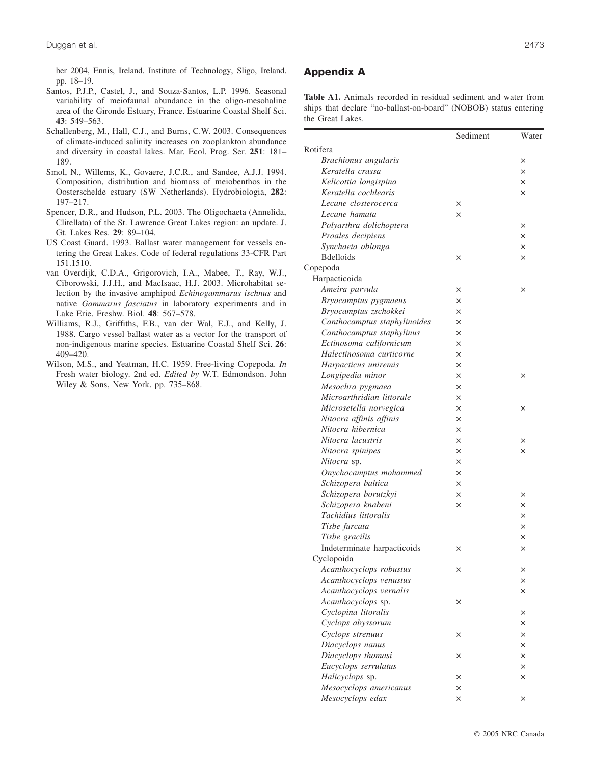ber 2004, Ennis, Ireland. Institute of Technology, Sligo, Ireland. pp. 18–19.

- Santos, P.J.P., Castel, J., and Souza-Santos, L.P. 1996. Seasonal variability of meiofaunal abundance in the oligo-mesohaline area of the Gironde Estuary, France. Estuarine Coastal Shelf Sci. **43**: 549–563.
- Schallenberg, M., Hall, C.J., and Burns, C.W. 2003. Consequences of climate-induced salinity increases on zooplankton abundance and diversity in coastal lakes. Mar. Ecol. Prog. Ser. **251**: 181– 189.
- Smol, N., Willems, K., Govaere, J.C.R., and Sandee, A.J.J. 1994. Composition, distribution and biomass of meiobenthos in the Oosterschelde estuary (SW Netherlands). Hydrobiologia, **282**: 197–217.
- Spencer, D.R., and Hudson, P.L. 2003. The Oligochaeta (Annelida, Clitellata) of the St. Lawrence Great Lakes region: an update. J. Gt. Lakes Res. **29**: 89–104.
- US Coast Guard. 1993. Ballast water management for vessels entering the Great Lakes. Code of federal regulations 33-CFR Part 151.1510.
- van Overdijk, C.D.A., Grigorovich, I.A., Mabee, T., Ray, W.J., Ciborowski, J.J.H., and MacIsaac, H.J. 2003. Microhabitat selection by the invasive amphipod *Echinogammarus ischnus* and native *Gammarus fasciatus* in laboratory experiments and in Lake Erie. Freshw. Biol. **48**: 567–578.
- Williams, R.J., Griffiths, F.B., van der Wal, E.J., and Kelly, J. 1988. Cargo vessel ballast water as a vector for the transport of non-indigenous marine species. Estuarine Coastal Shelf Sci. **26**: 409–420.
- Wilson, M.S., and Yeatman, H.C. 1959. Free-living Copepoda. *In* Fresh water biology. 2nd ed. *Edited by* W.T. Edmondson. John Wiley & Sons, New York. pp. 735–868.

# **Appendix A**

**Table A1.** Animals recorded in residual sediment and water from ships that declare "no-ballast-on-board" (NOBOB) status entering the Great Lakes.

|                              | Sediment | Water    |
|------------------------------|----------|----------|
| Rotifera                     |          |          |
| Brachionus angularis         |          | ×        |
| Keratella crassa             |          | ×        |
| Kelicottia longispina        |          | ×        |
| Keratella cochlearis         |          | $\times$ |
| Lecane closterocerca         | ×        |          |
| Lecane hamata                | $\times$ |          |
| Polyarthra dolichoptera      |          | ×        |
| Proales decipiens            |          | ×        |
| Synchaeta oblonga            |          | ×        |
| <b>Bdelloids</b>             | ×        | ×        |
| Copepoda                     |          |          |
| Harpacticoida                |          |          |
| Ameira parvula               | ×        | ×        |
| Bryocamptus pygmaeus         | $\times$ |          |
| Bryocamptus zschokkei        | $\times$ |          |
| Canthocamptus staphylinoides | ×        |          |
| Canthocamptus staphylinus    | $\times$ |          |
| Ectinosoma californicum      | $\times$ |          |
| Halectinosoma curticorne     | $\times$ |          |
| Harpacticus uniremis         | ×        |          |
| Longipedia minor             | $\times$ | ×        |
| Mesochra pygmaea             | $\times$ |          |
| Microarthridian littorale    | $\times$ |          |
| Microsetella norvegica       | $\times$ | ×        |
| Nitocra affinis affinis      | $\times$ |          |
| Nitocra hibernica            | $\times$ |          |
| Nitocra lacustris            | ×        | ×        |
| Nitocra spinipes             | $\times$ | $\times$ |
| Nitocra sp.                  | $\times$ |          |
| Onychocamptus mohammed       | ×        |          |
| Schizopera baltica           | ×        |          |
| Schizopera borutzkyi         | $\times$ | ×        |
| Schizopera knabeni           | $\times$ | ×        |
| Tachidius littoralis         |          | ×        |
| Tisbe furcata                |          | ×        |
| Tisbe gracilis               |          | ×        |
| Indeterminate harpacticoids  | ×        | $\times$ |
| Cyclopoida                   |          |          |
| Acanthocyclops robustus      | ×        | ×        |
| Acanthocyclops venustus      |          | ×        |
| Acanthocyclops vernalis      |          | ×        |
| Acanthocyclops sp.           | ×        |          |
| Cyclopina litoralis          |          | ×        |
| Cyclops abyssorum            |          | ×        |
| Cyclops strenuus             | ×        | ×        |
| Diacyclops nanus             |          | ×        |
| Diacyclops thomasi           | ×        | ×        |
| Eucyclops serrulatus         |          | ×        |
| Halicyclops sp.              | ×        | ×        |
| Mesocyclops americanus       | ×        |          |
| Mesocyclops edax             | ×        | ×        |
|                              |          |          |